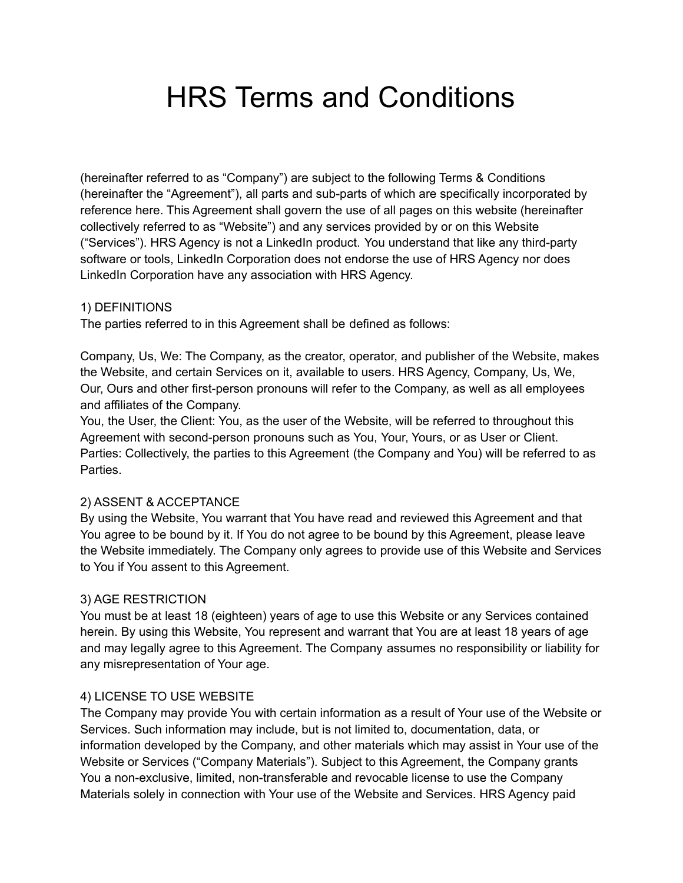# HRS Terms and Conditions

(hereinafter referred to as "Company") are subject to the following Terms & Conditions (hereinafter the "Agreement"), all parts and sub-parts of which are specifically incorporated by reference here. This Agreement shall govern the use of all pages on this website (hereinafter collectively referred to as "Website") and any services provided by or on this Website ("Services"). HRS Agency is not a LinkedIn product. You understand that like any third-party software or tools, LinkedIn Corporation does not endorse the use of HRS Agency nor does LinkedIn Corporation have any association with HRS Agency.

## 1) DEFINITIONS

The parties referred to in this Agreement shall be defined as follows:

Company, Us, We: The Company, as the creator, operator, and publisher of the Website, makes the Website, and certain Services on it, available to users. HRS Agency, Company, Us, We, Our, Ours and other first-person pronouns will refer to the Company, as well as all employees and affiliates of the Company.

You, the User, the Client: You, as the user of the Website, will be referred to throughout this Agreement with second-person pronouns such as You, Your, Yours, or as User or Client. Parties: Collectively, the parties to this Agreement (the Company and You) will be referred to as Parties.

## 2) ASSENT & ACCEPTANCE

By using the Website, You warrant that You have read and reviewed this Agreement and that You agree to be bound by it. If You do not agree to be bound by this Agreement, please leave the Website immediately. The Company only agrees to provide use of this Website and Services to You if You assent to this Agreement.

## 3) AGE RESTRICTION

You must be at least 18 (eighteen) years of age to use this Website or any Services contained herein. By using this Website, You represent and warrant that You are at least 18 years of age and may legally agree to this Agreement. The Company assumes no responsibility or liability for any misrepresentation of Your age.

## 4) LICENSE TO USE WEBSITE

The Company may provide You with certain information as a result of Your use of the Website or Services. Such information may include, but is not limited to, documentation, data, or information developed by the Company, and other materials which may assist in Your use of the Website or Services ("Company Materials"). Subject to this Agreement, the Company grants You a non-exclusive, limited, non-transferable and revocable license to use the Company Materials solely in connection with Your use of the Website and Services. HRS Agency paid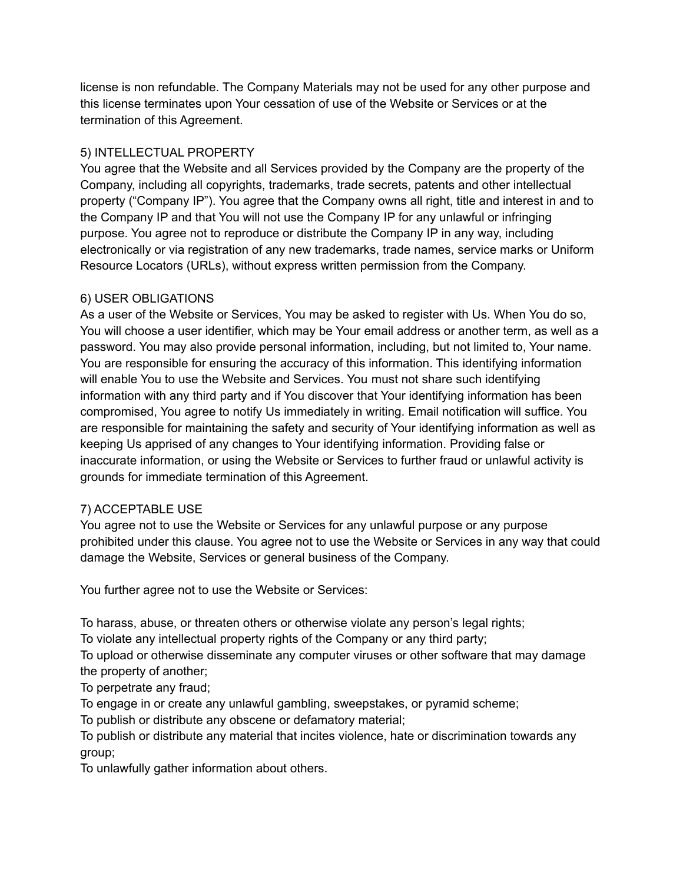license is non refundable. The Company Materials may not be used for any other purpose and this license terminates upon Your cessation of use of the Website or Services or at the termination of this Agreement.

# 5) INTELLECTUAL PROPERTY

You agree that the Website and all Services provided by the Company are the property of the Company, including all copyrights, trademarks, trade secrets, patents and other intellectual property ("Company IP"). You agree that the Company owns all right, title and interest in and to the Company IP and that You will not use the Company IP for any unlawful or infringing purpose. You agree not to reproduce or distribute the Company IP in any way, including electronically or via registration of any new trademarks, trade names, service marks or Uniform Resource Locators (URLs), without express written permission from the Company.

# 6) USER OBLIGATIONS

As a user of the Website or Services, You may be asked to register with Us. When You do so, You will choose a user identifier, which may be Your email address or another term, as well as a password. You may also provide personal information, including, but not limited to, Your name. You are responsible for ensuring the accuracy of this information. This identifying information will enable You to use the Website and Services. You must not share such identifying information with any third party and if You discover that Your identifying information has been compromised, You agree to notify Us immediately in writing. Email notification will suffice. You are responsible for maintaining the safety and security of Your identifying information as well as keeping Us apprised of any changes to Your identifying information. Providing false or inaccurate information, or using the Website or Services to further fraud or unlawful activity is grounds for immediate termination of this Agreement.

## 7) ACCEPTABLE USE

You agree not to use the Website or Services for any unlawful purpose or any purpose prohibited under this clause. You agree not to use the Website or Services in any way that could damage the Website, Services or general business of the Company.

You further agree not to use the Website or Services:

To harass, abuse, or threaten others or otherwise violate any person's legal rights;

To violate any intellectual property rights of the Company or any third party;

To upload or otherwise disseminate any computer viruses or other software that may damage the property of another;

To perpetrate any fraud;

To engage in or create any unlawful gambling, sweepstakes, or pyramid scheme;

To publish or distribute any obscene or defamatory material;

To publish or distribute any material that incites violence, hate or discrimination towards any group;

To unlawfully gather information about others.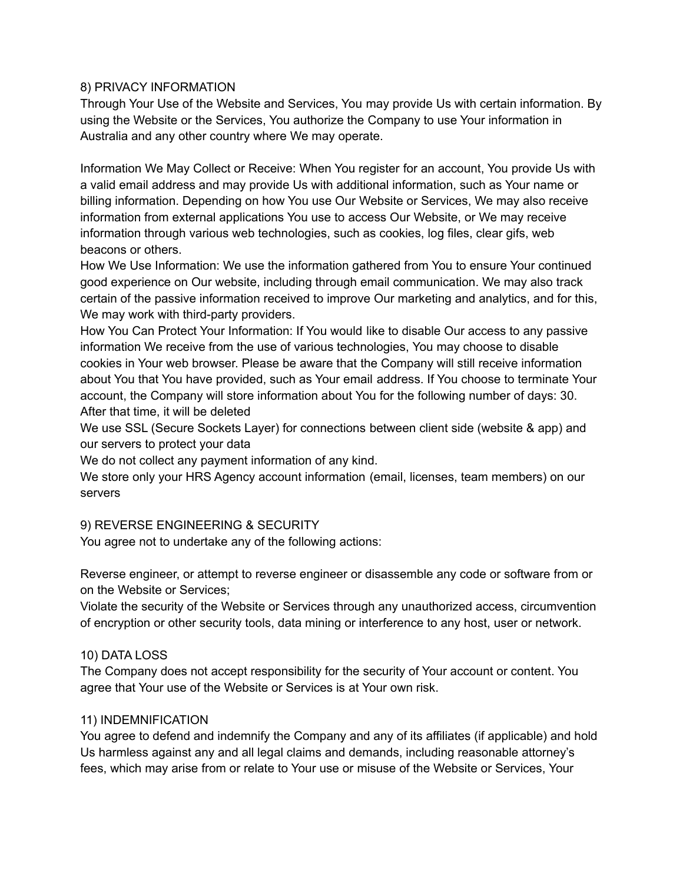## 8) PRIVACY INFORMATION

Through Your Use of the Website and Services, You may provide Us with certain information. By using the Website or the Services, You authorize the Company to use Your information in Australia and any other country where We may operate.

Information We May Collect or Receive: When You register for an account, You provide Us with a valid email address and may provide Us with additional information, such as Your name or billing information. Depending on how You use Our Website or Services, We may also receive information from external applications You use to access Our Website, or We may receive information through various web technologies, such as cookies, log files, clear gifs, web beacons or others.

How We Use Information: We use the information gathered from You to ensure Your continued good experience on Our website, including through email communication. We may also track certain of the passive information received to improve Our marketing and analytics, and for this, We may work with third-party providers.

How You Can Protect Your Information: If You would like to disable Our access to any passive information We receive from the use of various technologies, You may choose to disable cookies in Your web browser. Please be aware that the Company will still receive information about You that You have provided, such as Your email address. If You choose to terminate Your account, the Company will store information about You for the following number of days: 30. After that time, it will be deleted

We use SSL (Secure Sockets Layer) for connections between client side (website & app) and our servers to protect your data

We do not collect any payment information of any kind.

We store only your HRS Agency account information (email, licenses, team members) on our servers

#### 9) REVERSE ENGINEERING & SECURITY

You agree not to undertake any of the following actions:

Reverse engineer, or attempt to reverse engineer or disassemble any code or software from or on the Website or Services;

Violate the security of the Website or Services through any unauthorized access, circumvention of encryption or other security tools, data mining or interference to any host, user or network.

#### 10) DATA LOSS

The Company does not accept responsibility for the security of Your account or content. You agree that Your use of the Website or Services is at Your own risk.

#### 11) INDEMNIFICATION

You agree to defend and indemnify the Company and any of its affiliates (if applicable) and hold Us harmless against any and all legal claims and demands, including reasonable attorney's fees, which may arise from or relate to Your use or misuse of the Website or Services, Your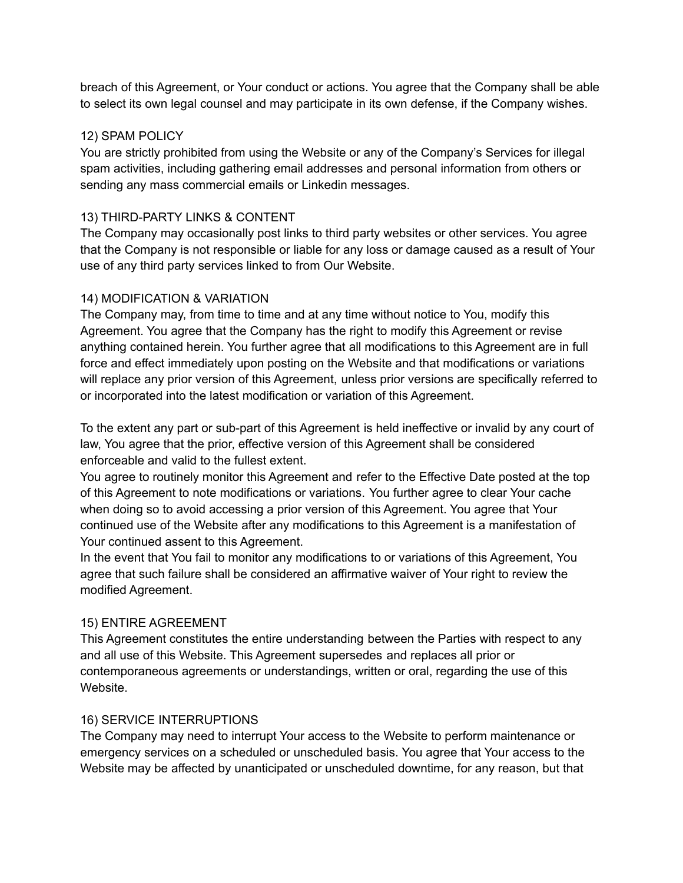breach of this Agreement, or Your conduct or actions. You agree that the Company shall be able to select its own legal counsel and may participate in its own defense, if the Company wishes.

## 12) SPAM POLICY

You are strictly prohibited from using the Website or any of the Company's Services for illegal spam activities, including gathering email addresses and personal information from others or sending any mass commercial emails or Linkedin messages.

## 13) THIRD-PARTY LINKS & CONTENT

The Company may occasionally post links to third party websites or other services. You agree that the Company is not responsible or liable for any loss or damage caused as a result of Your use of any third party services linked to from Our Website.

## 14) MODIFICATION & VARIATION

The Company may, from time to time and at any time without notice to You, modify this Agreement. You agree that the Company has the right to modify this Agreement or revise anything contained herein. You further agree that all modifications to this Agreement are in full force and effect immediately upon posting on the Website and that modifications or variations will replace any prior version of this Agreement, unless prior versions are specifically referred to or incorporated into the latest modification or variation of this Agreement.

To the extent any part or sub-part of this Agreement is held ineffective or invalid by any court of law, You agree that the prior, effective version of this Agreement shall be considered enforceable and valid to the fullest extent.

You agree to routinely monitor this Agreement and refer to the Effective Date posted at the top of this Agreement to note modifications or variations. You further agree to clear Your cache when doing so to avoid accessing a prior version of this Agreement. You agree that Your continued use of the Website after any modifications to this Agreement is a manifestation of Your continued assent to this Agreement.

In the event that You fail to monitor any modifications to or variations of this Agreement, You agree that such failure shall be considered an affirmative waiver of Your right to review the modified Agreement.

## 15) ENTIRE AGREEMENT

This Agreement constitutes the entire understanding between the Parties with respect to any and all use of this Website. This Agreement supersedes and replaces all prior or contemporaneous agreements or understandings, written or oral, regarding the use of this Website.

#### 16) SERVICE INTERRUPTIONS

The Company may need to interrupt Your access to the Website to perform maintenance or emergency services on a scheduled or unscheduled basis. You agree that Your access to the Website may be affected by unanticipated or unscheduled downtime, for any reason, but that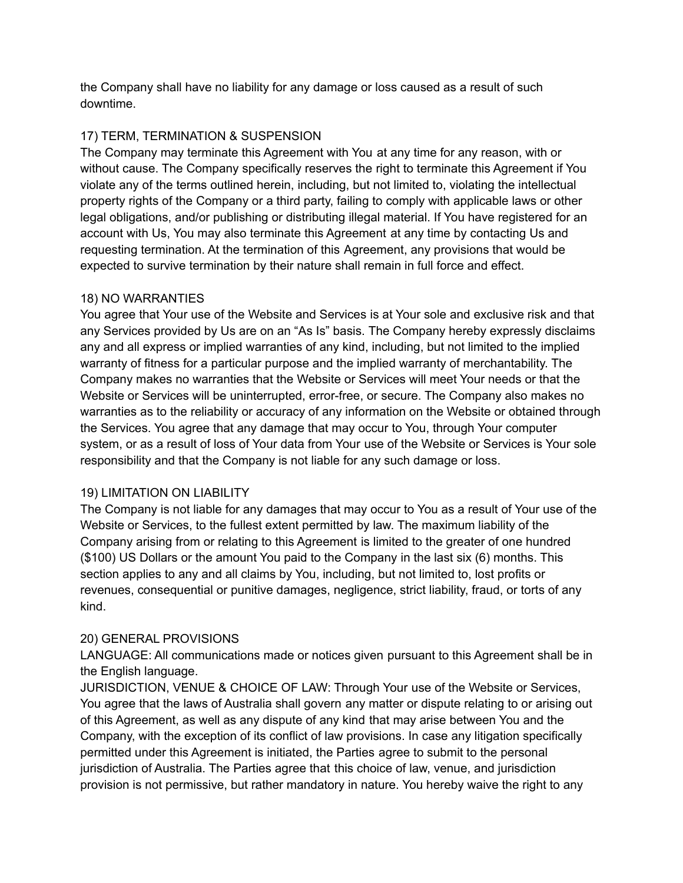the Company shall have no liability for any damage or loss caused as a result of such downtime.

## 17) TERM, TERMINATION & SUSPENSION

The Company may terminate this Agreement with You at any time for any reason, with or without cause. The Company specifically reserves the right to terminate this Agreement if You violate any of the terms outlined herein, including, but not limited to, violating the intellectual property rights of the Company or a third party, failing to comply with applicable laws or other legal obligations, and/or publishing or distributing illegal material. If You have registered for an account with Us, You may also terminate this Agreement at any time by contacting Us and requesting termination. At the termination of this Agreement, any provisions that would be expected to survive termination by their nature shall remain in full force and effect.

## 18) NO WARRANTIES

You agree that Your use of the Website and Services is at Your sole and exclusive risk and that any Services provided by Us are on an "As Is" basis. The Company hereby expressly disclaims any and all express or implied warranties of any kind, including, but not limited to the implied warranty of fitness for a particular purpose and the implied warranty of merchantability. The Company makes no warranties that the Website or Services will meet Your needs or that the Website or Services will be uninterrupted, error-free, or secure. The Company also makes no warranties as to the reliability or accuracy of any information on the Website or obtained through the Services. You agree that any damage that may occur to You, through Your computer system, or as a result of loss of Your data from Your use of the Website or Services is Your sole responsibility and that the Company is not liable for any such damage or loss.

## 19) LIMITATION ON LIABILITY

The Company is not liable for any damages that may occur to You as a result of Your use of the Website or Services, to the fullest extent permitted by law. The maximum liability of the Company arising from or relating to this Agreement is limited to the greater of one hundred (\$100) US Dollars or the amount You paid to the Company in the last six (6) months. This section applies to any and all claims by You, including, but not limited to, lost profits or revenues, consequential or punitive damages, negligence, strict liability, fraud, or torts of any kind.

# 20) GENERAL PROVISIONS

LANGUAGE: All communications made or notices given pursuant to this Agreement shall be in the English language.

JURISDICTION, VENUE & CHOICE OF LAW: Through Your use of the Website or Services, You agree that the laws of Australia shall govern any matter or dispute relating to or arising out of this Agreement, as well as any dispute of any kind that may arise between You and the Company, with the exception of its conflict of law provisions. In case any litigation specifically permitted under this Agreement is initiated, the Parties agree to submit to the personal jurisdiction of Australia. The Parties agree that this choice of law, venue, and jurisdiction provision is not permissive, but rather mandatory in nature. You hereby waive the right to any